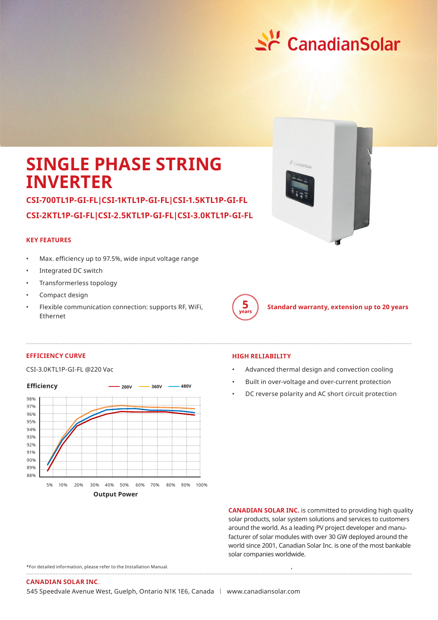

# **SINGLE PHASE STRING INVERTER**

**CSI-700TL1P-GI-FL|CSI-1KTL1P-GI-FL|CSI-1.5KTL1P-GI-FL CSI-2KTL1P-GI-FL|CSI-2.5KTL1P-GI-FL|CSI-3.0KTL1P-GI-FL**

## **KEY FEATURES**

- Max. efficiency up to 97.5%, wide input voltage range
- Integrated DC switch
- Transformerless topology
- Compact design
- Flexible communication connection: supports RF, WiFi, Ethernet





**Standard warranty, extension up to 20 years**

### **EFFICIENCY CURVE HIGH RELIABILITY**



- CSI-3.0KTL1P-GI-FL @220 Vac Advanced thermal design and convection cooling
	- Built in over-voltage and over-current protection
	- DC reverse polarity and AC short circuit protection

**CANADIAN SOLAR INC.** is committed to providing high quality solar products, solar system solutions and services to customers around the world. As a leading PV project developer and manufacturer of solar modules with over 30 GW deployed around the world since 2001, Canadian Solar Inc. is one of the most bankable solar companies worldwide.

bankable solar companies worldwide.

\*For detailed information, please refer to the Installation Manual.